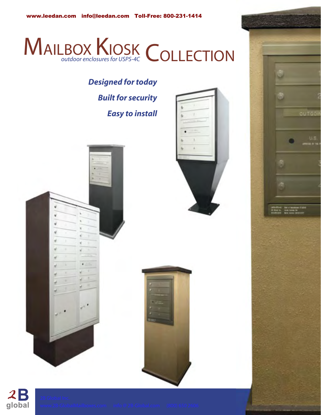

# *Designed for today Built for security Easy to install*







 $2B$ global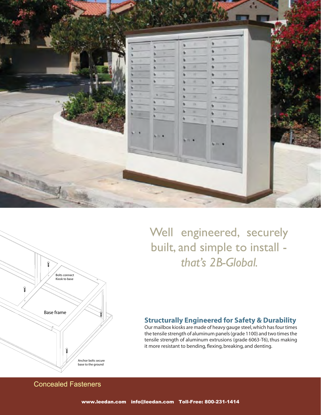



Well engineered, securely built, and simple to install that's 2B-Global.

# **Structurally Engineered for Safety & Durability**

Our mailbox kiosks are made of heavy gauge steel, which has four times the tensile strength of aluminum panels (grade 1100) and two times the tensile strength of aluminum extrusions (grade 6063-T6), thus making it more resistant to bending, flexing, breaking, and denting.

**Concealed Fasteners**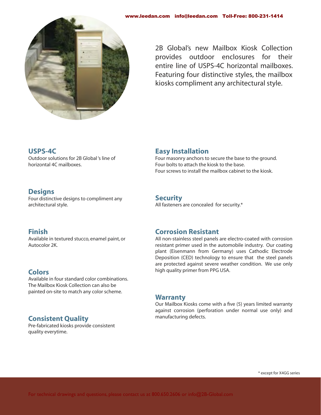

2B Global's new Mailbox Kiosk Collection provides outdoor enclosures for their entire line of USPS-4C horizontal mailboxes. Featuring four distinctive styles, the mailbox kiosks compliment any architectural style.

#### **USPS-4C**

Outdoor solutions for 2B Global 's line of horizontal 4C mailboxes.

## **Designs**

Four distinctive designs to compliment any architectural style.

#### **Finish**

Available in textured stucco, enamel paint, or Autocolor 2K.

# **Colors**

Available in four standard color combinations. The Mailbox Kiosk Collection can also be painted on-site to match any color scheme.

# **Consistent Quality**

Pre-fabricated kiosks provide consistent quality everytime.

## **Easy Installation**

Four masonry anchors to secure the base to the ground. Four bolts to attach the kiosk to the base. Four screws to install the mailbox cabinet to the kiosk.

#### **Security**

All fasteners are concealed for security.\*

#### **Corrosion Resistant**

All non-stainless steel panels are electro-coated with corrosion resistant primer used in the automobile industry. Our coating plant (Eisenmann from Germany) uses Cathodic Electrode Deposition (CED) technology to ensure that the steel panels are protected against severe weather condition. We use only high quality primer from PPG USA.

#### **Warranty**

Our Mailbox Kiosks come with a five (5) years limited warranty against corrosion (perforation under normal use only) and manufacturing defects.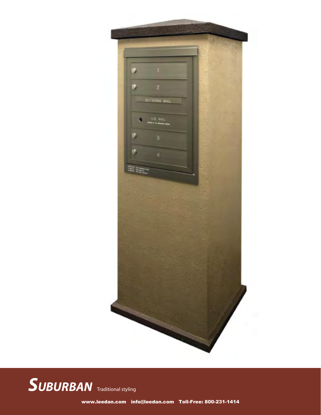

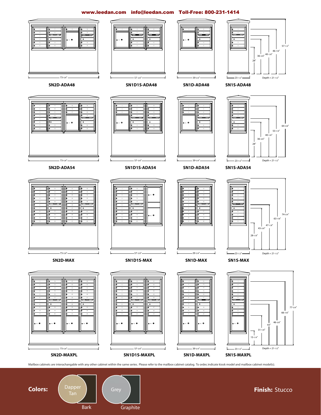#### www.leedan.com info@leedan.com Toll-Free: 800-231-1414





**Finish: Stucco**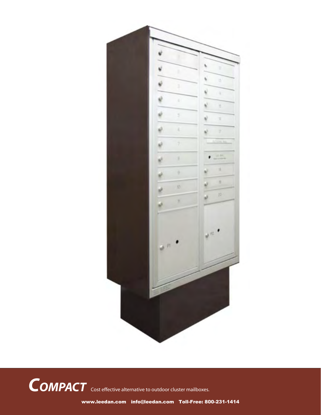

COMPACT Cost effective alternative to outdoor cluster mailboxes.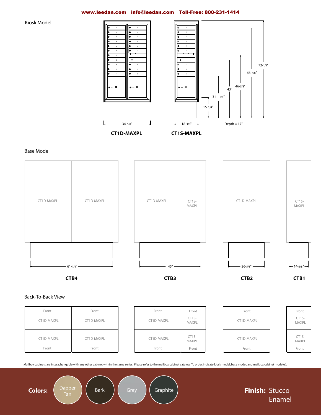#### www.leedan.com info@leedan.com Toll-Free: 800-231-1414

**Kiosk Model** 





**CT1D-MAXPL** 



**Base Model** 



#### Back-To-Back View

| Front<br>CT1D-MAXPL | Front<br>CT1D-MAXPL | Front<br>CT1D-MAXPL | Front<br>$CT1S-$<br>MAXPL | Front<br>CT1D-MAXPL | Front<br>CT1S-<br>MAXPL   |
|---------------------|---------------------|---------------------|---------------------------|---------------------|---------------------------|
| CT1D-MAXPL<br>Front | CT1D-MAXPL<br>Front | CT1D-MAXPL<br>Front | $CT1S-$<br>MAXPL<br>Front | CT1D-MAXPL<br>Front | $CT1S-$<br>MAXPL<br>Front |

Mailbox cabinets are interachangable with any other cabinet within the same series. Please refer to the mailbox cabinet catalog. To order, indicate kiosk model, base model, and mailbox cabinet model(s).

**Colors:** 



Tan

Graphite

Finish: Stucco Enamel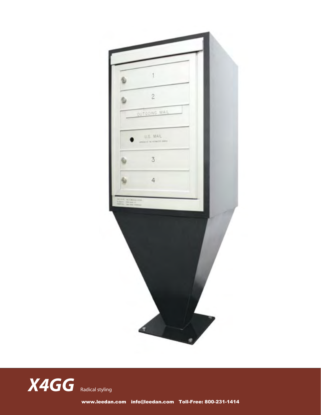

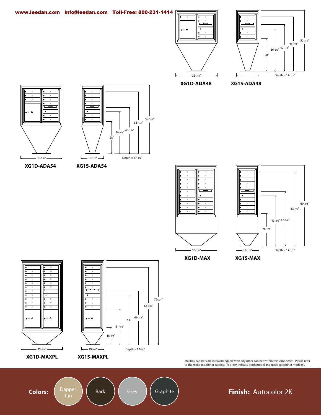



XG1D-ADA48

XG1S-ADA48





XG1D-ADA54

XG1S-ADA54





XG1D-MAX

XG1S-MAX





Mailbox cabinets are interachangable with any other cabinet within the same series. Please refer<br>to the mailbox cabinet catalog. To order, indicate kiosk model and mailbox cabinet model(s).

**Colors:** 

Bark

Graphite

# Finish: Autocolor 2K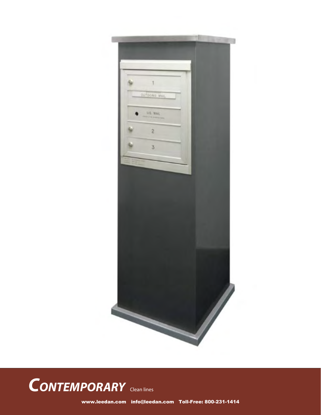



www.leedan.com info@leedan.com Toll-Free: 800-231-1414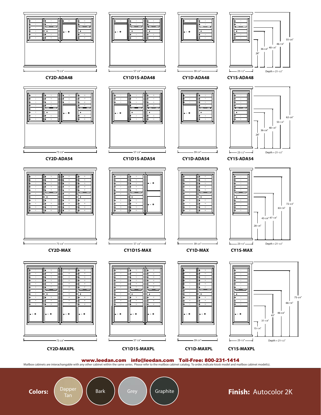

**Colors:** 

Dapper **Bark**  Graphite

Grey

## Finish: Autocolor 2K